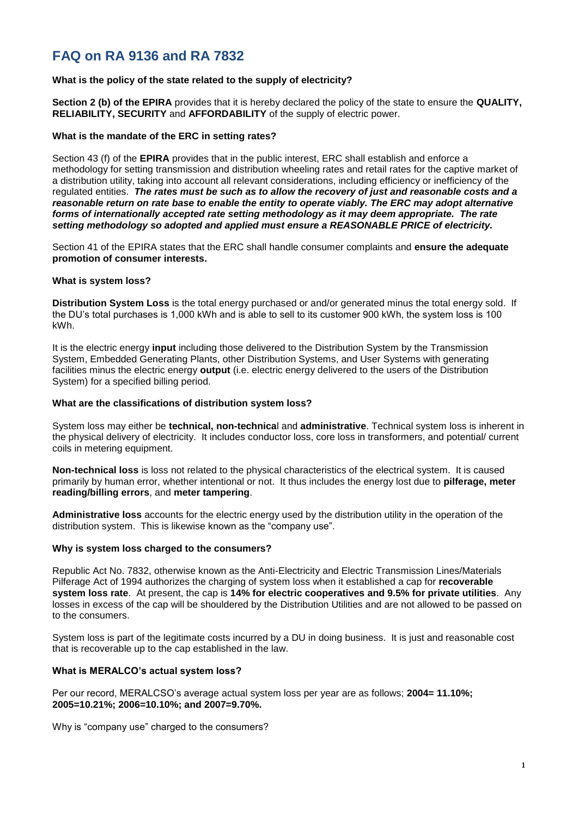# **FAQ on RA 9136 and RA 7832**

## **What is the policy of the state related to the supply of electricity?**

**Section 2 (b) of the EPIRA** provides that it is hereby declared the policy of the state to ensure the **QUALITY, RELIABILITY, SECURITY** and **AFFORDABILITY** of the supply of electric power.

## **What is the mandate of the ERC in setting rates?**

Section 43 (f) of the **EPIRA** provides that in the public interest, ERC shall establish and enforce a methodology for setting transmission and distribution wheeling rates and retail rates for the captive market of a distribution utility, taking into account all relevant considerations, including efficiency or inefficiency of the regulated entities. *The rates must be such as to allow the recovery of just and reasonable costs and a reasonable return on rate base to enable the entity to operate viably. The ERC may adopt alternative forms of internationally accepted rate setting methodology as it may deem appropriate. The rate setting methodology so adopted and applied must ensure a REASONABLE PRICE of electricity.*

Section 41 of the EPIRA states that the ERC shall handle consumer complaints and **ensure the adequate promotion of consumer interests.**

#### **What is system loss?**

**Distribution System Loss** is the total energy purchased or and/or generated minus the total energy sold. If the DU's total purchases is 1,000 kWh and is able to sell to its customer 900 kWh, the system loss is 100 kWh.

It is the electric energy **input** including those delivered to the Distribution System by the Transmission System, Embedded Generating Plants, other Distribution Systems, and User Systems with generating facilities minus the electric energy **output** (i.e. electric energy delivered to the users of the Distribution System) for a specified billing period.

#### **What are the classifications of distribution system loss?**

System loss may either be **technical, non-technica**l and **administrative**. Technical system loss is inherent in the physical delivery of electricity. It includes conductor loss, core loss in transformers, and potential/ current coils in metering equipment.

**Non-technical loss** is loss not related to the physical characteristics of the electrical system. It is caused primarily by human error, whether intentional or not. It thus includes the energy lost due to **pilferage, meter reading/billing errors**, and **meter tampering**.

**Administrative loss** accounts for the electric energy used by the distribution utility in the operation of the distribution system. This is likewise known as the "company use".

#### **Why is system loss charged to the consumers?**

Republic Act No. 7832, otherwise known as the Anti-Electricity and Electric Transmission Lines/Materials Pilferage Act of 1994 authorizes the charging of system loss when it established a cap for **recoverable system loss rate**. At present, the cap is **14% for electric cooperatives and 9.5% for private utilities**. Any losses in excess of the cap will be shouldered by the Distribution Utilities and are not allowed to be passed on to the consumers.

System loss is part of the legitimate costs incurred by a DU in doing business. It is just and reasonable cost that is recoverable up to the cap established in the law.

## **What is MERALCO's actual system loss?**

Per our record, MERALCSO's average actual system loss per year are as follows; **2004= 11.10%; 2005=10.21%; 2006=10.10%; and 2007=9.70%.**

Why is "company use" charged to the consumers?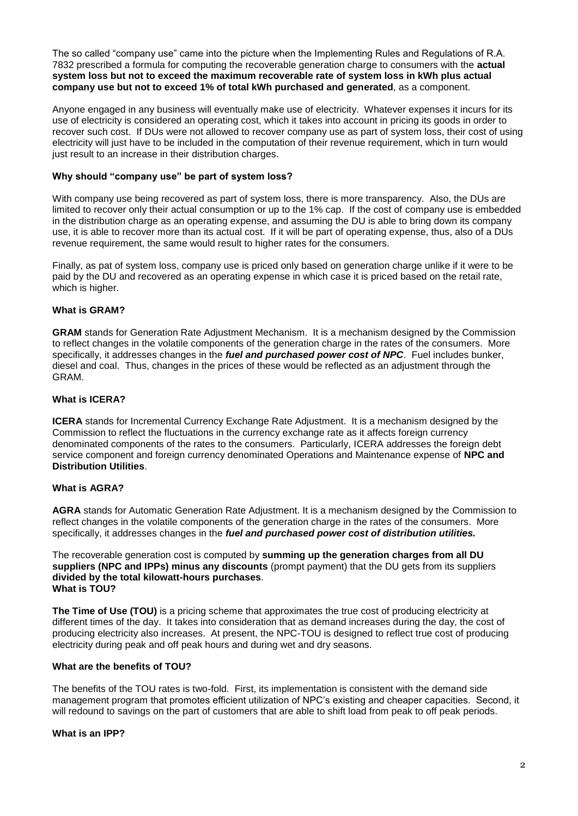The so called "company use" came into the picture when the Implementing Rules and Regulations of R.A. 7832 prescribed a formula for computing the recoverable generation charge to consumers with the **actual system loss but not to exceed the maximum recoverable rate of system loss in kWh plus actual company use but not to exceed 1% of total kWh purchased and generated**, as a component.

Anyone engaged in any business will eventually make use of electricity. Whatever expenses it incurs for its use of electricity is considered an operating cost, which it takes into account in pricing its goods in order to recover such cost. If DUs were not allowed to recover company use as part of system loss, their cost of using electricity will just have to be included in the computation of their revenue requirement, which in turn would just result to an increase in their distribution charges.

## **Why should "company use" be part of system loss?**

With company use being recovered as part of system loss, there is more transparency. Also, the DUs are limited to recover only their actual consumption or up to the 1% cap. If the cost of company use is embedded in the distribution charge as an operating expense, and assuming the DU is able to bring down its company use, it is able to recover more than its actual cost. If it will be part of operating expense, thus, also of a DUs revenue requirement, the same would result to higher rates for the consumers.

Finally, as pat of system loss, company use is priced only based on generation charge unlike if it were to be paid by the DU and recovered as an operating expense in which case it is priced based on the retail rate, which is higher.

## **What is GRAM?**

**GRAM** stands for Generation Rate Adjustment Mechanism. It is a mechanism designed by the Commission to reflect changes in the volatile components of the generation charge in the rates of the consumers. More specifically, it addresses changes in the *fuel and purchased power cost of NPC*. Fuel includes bunker, diesel and coal. Thus, changes in the prices of these would be reflected as an adjustment through the GRAM.

## **What is ICERA?**

**ICERA** stands for Incremental Currency Exchange Rate Adjustment. It is a mechanism designed by the Commission to reflect the fluctuations in the currency exchange rate as it affects foreign currency denominated components of the rates to the consumers. Particularly, ICERA addresses the foreign debt service component and foreign currency denominated Operations and Maintenance expense of **NPC and Distribution Utilities**.

## **What is AGRA?**

**AGRA** stands for Automatic Generation Rate Adjustment. It is a mechanism designed by the Commission to reflect changes in the volatile components of the generation charge in the rates of the consumers. More specifically, it addresses changes in the *fuel and purchased power cost of distribution utilities.*

The recoverable generation cost is computed by **summing up the generation charges from all DU suppliers (NPC and IPPs) minus any discounts** (prompt payment) that the DU gets from its suppliers **divided by the total kilowatt-hours purchases**. **What is TOU?**

**The Time of Use (TOU)** is a pricing scheme that approximates the true cost of producing electricity at different times of the day. It takes into consideration that as demand increases during the day, the cost of producing electricity also increases. At present, the NPC-TOU is designed to reflect true cost of producing electricity during peak and off peak hours and during wet and dry seasons.

#### **What are the benefits of TOU?**

The benefits of the TOU rates is two-fold. First, its implementation is consistent with the demand side management program that promotes efficient utilization of NPC's existing and cheaper capacities. Second, it will redound to savings on the part of customers that are able to shift load from peak to off peak periods.

#### **What is an IPP?**